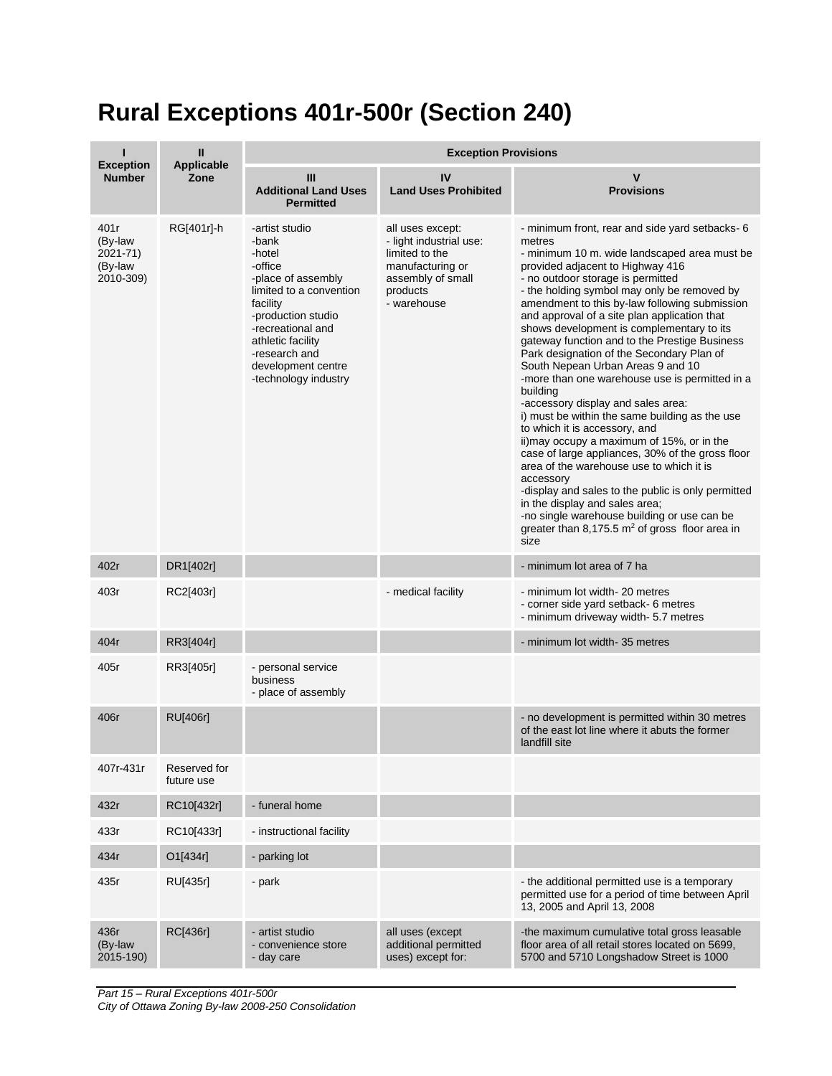## **Rural Exceptions 401r-500r (Section 240)**

|                                                     | Ш<br><b>Applicable</b><br>Zone | <b>Exception Provisions</b>                                                                                                                                                                                                              |                                                                                                                                   |                                                                                                                                                                                                                                                                                                                                                                                                                                                                                                                                                                                                                                                                                                                                                                                                                                                                                                                                                                                                                                                                         |  |
|-----------------------------------------------------|--------------------------------|------------------------------------------------------------------------------------------------------------------------------------------------------------------------------------------------------------------------------------------|-----------------------------------------------------------------------------------------------------------------------------------|-------------------------------------------------------------------------------------------------------------------------------------------------------------------------------------------------------------------------------------------------------------------------------------------------------------------------------------------------------------------------------------------------------------------------------------------------------------------------------------------------------------------------------------------------------------------------------------------------------------------------------------------------------------------------------------------------------------------------------------------------------------------------------------------------------------------------------------------------------------------------------------------------------------------------------------------------------------------------------------------------------------------------------------------------------------------------|--|
| <b>Exception</b><br><b>Number</b>                   |                                | Ш<br><b>Additional Land Uses</b><br><b>Permitted</b>                                                                                                                                                                                     | IV<br><b>Land Uses Prohibited</b>                                                                                                 | v<br><b>Provisions</b>                                                                                                                                                                                                                                                                                                                                                                                                                                                                                                                                                                                                                                                                                                                                                                                                                                                                                                                                                                                                                                                  |  |
| 401r<br>(By-law<br>2021-71)<br>(By-law<br>2010-309) | RG[401r]-h                     | -artist studio<br>-bank<br>-hotel<br>-office<br>-place of assembly<br>limited to a convention<br>facility<br>-production studio<br>-recreational and<br>athletic facility<br>-research and<br>development centre<br>-technology industry | all uses except:<br>- light industrial use:<br>limited to the<br>manufacturing or<br>assembly of small<br>products<br>- warehouse | - minimum front, rear and side yard setbacks- 6<br>metres<br>- minimum 10 m. wide landscaped area must be<br>provided adjacent to Highway 416<br>- no outdoor storage is permitted<br>- the holding symbol may only be removed by<br>amendment to this by-law following submission<br>and approval of a site plan application that<br>shows development is complementary to its<br>gateway function and to the Prestige Business<br>Park designation of the Secondary Plan of<br>South Nepean Urban Areas 9 and 10<br>-more than one warehouse use is permitted in a<br>building<br>-accessory display and sales area:<br>i) must be within the same building as the use<br>to which it is accessory, and<br>ii) may occupy a maximum of 15%, or in the<br>case of large appliances, 30% of the gross floor<br>area of the warehouse use to which it is<br>accessory<br>-display and sales to the public is only permitted<br>in the display and sales area;<br>-no single warehouse building or use can be<br>greater than 8,175.5 $m2$ of gross floor area in<br>size |  |
| 402r                                                | DR1[402r]                      |                                                                                                                                                                                                                                          |                                                                                                                                   | - minimum lot area of 7 ha                                                                                                                                                                                                                                                                                                                                                                                                                                                                                                                                                                                                                                                                                                                                                                                                                                                                                                                                                                                                                                              |  |
| 403r                                                | RC2[403r]                      |                                                                                                                                                                                                                                          | - medical facility                                                                                                                | - minimum lot width- 20 metres<br>- corner side yard setback- 6 metres<br>- minimum driveway width- 5.7 metres                                                                                                                                                                                                                                                                                                                                                                                                                                                                                                                                                                                                                                                                                                                                                                                                                                                                                                                                                          |  |
| 404r                                                | RR3[404r]                      |                                                                                                                                                                                                                                          |                                                                                                                                   | - minimum lot width-35 metres                                                                                                                                                                                                                                                                                                                                                                                                                                                                                                                                                                                                                                                                                                                                                                                                                                                                                                                                                                                                                                           |  |
| 405r                                                | RR3[405r]                      | - personal service<br>business<br>- place of assembly                                                                                                                                                                                    |                                                                                                                                   |                                                                                                                                                                                                                                                                                                                                                                                                                                                                                                                                                                                                                                                                                                                                                                                                                                                                                                                                                                                                                                                                         |  |
| 406r                                                | <b>RU[406r]</b>                |                                                                                                                                                                                                                                          |                                                                                                                                   | - no development is permitted within 30 metres<br>of the east lot line where it abuts the former<br>landfill site                                                                                                                                                                                                                                                                                                                                                                                                                                                                                                                                                                                                                                                                                                                                                                                                                                                                                                                                                       |  |
| 407r-431r                                           | Reserved for<br>future use     |                                                                                                                                                                                                                                          |                                                                                                                                   |                                                                                                                                                                                                                                                                                                                                                                                                                                                                                                                                                                                                                                                                                                                                                                                                                                                                                                                                                                                                                                                                         |  |
| 432r                                                | RC10[432r]                     | - funeral home                                                                                                                                                                                                                           |                                                                                                                                   |                                                                                                                                                                                                                                                                                                                                                                                                                                                                                                                                                                                                                                                                                                                                                                                                                                                                                                                                                                                                                                                                         |  |
| 433r                                                | RC10[433r]                     | - instructional facility                                                                                                                                                                                                                 |                                                                                                                                   |                                                                                                                                                                                                                                                                                                                                                                                                                                                                                                                                                                                                                                                                                                                                                                                                                                                                                                                                                                                                                                                                         |  |
| 434r                                                | O1[434r]                       | - parking lot                                                                                                                                                                                                                            |                                                                                                                                   |                                                                                                                                                                                                                                                                                                                                                                                                                                                                                                                                                                                                                                                                                                                                                                                                                                                                                                                                                                                                                                                                         |  |
| 435r                                                | RU[435r]                       | - park                                                                                                                                                                                                                                   |                                                                                                                                   | - the additional permitted use is a temporary<br>permitted use for a period of time between April<br>13, 2005 and April 13, 2008                                                                                                                                                                                                                                                                                                                                                                                                                                                                                                                                                                                                                                                                                                                                                                                                                                                                                                                                        |  |
| 436r<br>(By-law<br>2015-190)                        | RC[436r]                       | - artist studio<br>- convenience store<br>- day care                                                                                                                                                                                     | all uses (except<br>additional permitted<br>uses) except for:                                                                     | -the maximum cumulative total gross leasable<br>floor area of all retail stores located on 5699,<br>5700 and 5710 Longshadow Street is 1000                                                                                                                                                                                                                                                                                                                                                                                                                                                                                                                                                                                                                                                                                                                                                                                                                                                                                                                             |  |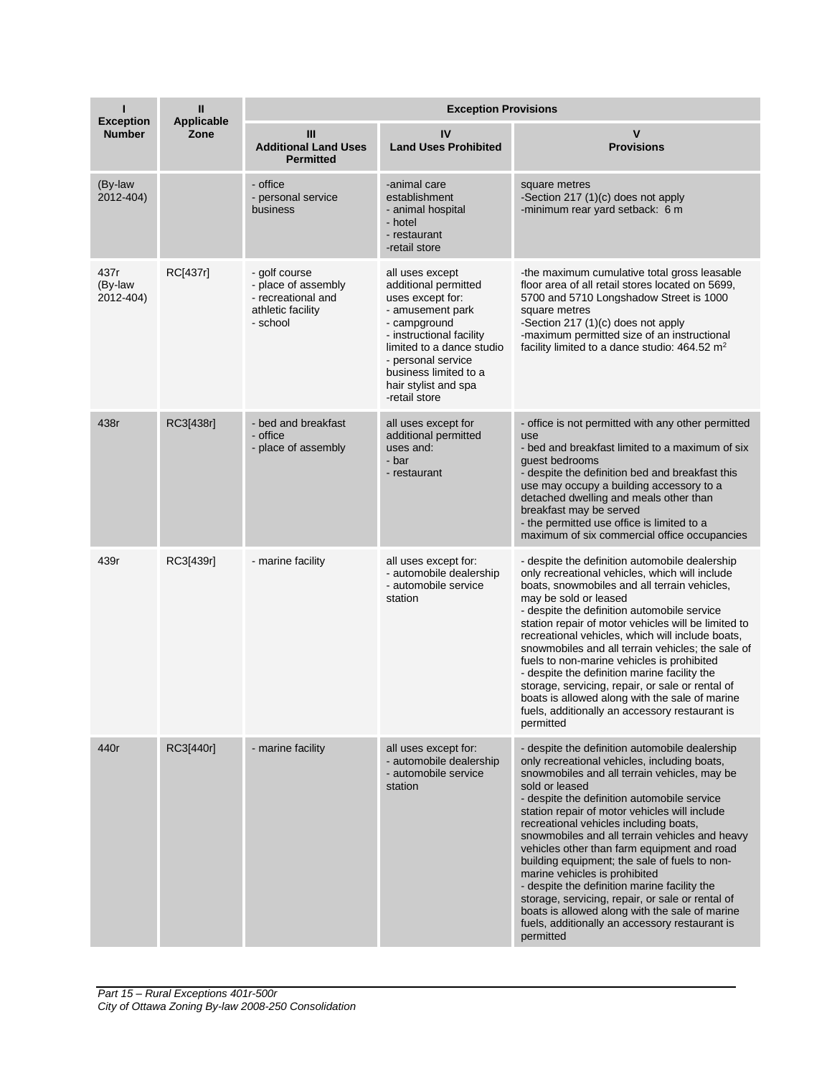| ı<br><b>Exception</b>        | Ш<br>Applicable | <b>Exception Provisions</b>                                                                 |                                                                                                                                                                                                                                                  |                                                                                                                                                                                                                                                                                                                                                                                                                                                                                                                                                                                                                                                                                                                    |  |
|------------------------------|-----------------|---------------------------------------------------------------------------------------------|--------------------------------------------------------------------------------------------------------------------------------------------------------------------------------------------------------------------------------------------------|--------------------------------------------------------------------------------------------------------------------------------------------------------------------------------------------------------------------------------------------------------------------------------------------------------------------------------------------------------------------------------------------------------------------------------------------------------------------------------------------------------------------------------------------------------------------------------------------------------------------------------------------------------------------------------------------------------------------|--|
| <b>Number</b>                | Zone            | Ш<br><b>Additional Land Uses</b><br><b>Permitted</b>                                        | IV<br><b>Land Uses Prohibited</b>                                                                                                                                                                                                                | v<br><b>Provisions</b>                                                                                                                                                                                                                                                                                                                                                                                                                                                                                                                                                                                                                                                                                             |  |
| (By-law<br>2012-404)         |                 | - office<br>- personal service<br>business                                                  | -animal care<br>establishment<br>- animal hospital<br>- hotel<br>- restaurant<br>-retail store                                                                                                                                                   | square metres<br>-Section 217 (1)(c) does not apply<br>-minimum rear yard setback: 6 m                                                                                                                                                                                                                                                                                                                                                                                                                                                                                                                                                                                                                             |  |
| 437r<br>(By-law<br>2012-404) | RC[437r]        | - golf course<br>- place of assembly<br>- recreational and<br>athletic facility<br>- school | all uses except<br>additional permitted<br>uses except for:<br>- amusement park<br>- campground<br>- instructional facility<br>limited to a dance studio<br>- personal service<br>business limited to a<br>hair stylist and spa<br>-retail store | -the maximum cumulative total gross leasable<br>floor area of all retail stores located on 5699,<br>5700 and 5710 Longshadow Street is 1000<br>square metres<br>-Section 217 (1)(c) does not apply<br>-maximum permitted size of an instructional<br>facility limited to a dance studio: $464.52 \text{ m}^2$                                                                                                                                                                                                                                                                                                                                                                                                      |  |
| 438r                         | RC3[438r]       | - bed and breakfast<br>- office<br>- place of assembly                                      | all uses except for<br>additional permitted<br>uses and:<br>- bar<br>- restaurant                                                                                                                                                                | - office is not permitted with any other permitted<br>use<br>- bed and breakfast limited to a maximum of six<br>guest bedrooms<br>- despite the definition bed and breakfast this<br>use may occupy a building accessory to a<br>detached dwelling and meals other than<br>breakfast may be served<br>- the permitted use office is limited to a<br>maximum of six commercial office occupancies                                                                                                                                                                                                                                                                                                                   |  |
| 439r                         | RC3[439r]       | - marine facility                                                                           | all uses except for:<br>- automobile dealership<br>- automobile service<br>station                                                                                                                                                               | - despite the definition automobile dealership<br>only recreational vehicles, which will include<br>boats, snowmobiles and all terrain vehicles,<br>may be sold or leased<br>- despite the definition automobile service<br>station repair of motor vehicles will be limited to<br>recreational vehicles, which will include boats,<br>snowmobiles and all terrain vehicles; the sale of<br>fuels to non-marine vehicles is prohibited<br>- despite the definition marine facility the<br>storage, servicing, repair, or sale or rental of<br>boats is allowed along with the sale of marine<br>fuels, additionally an accessory restaurant is<br>permitted                                                        |  |
| 440r                         | RC3[440r]       | - marine facility                                                                           | all uses except for:<br>- automobile dealership<br>- automobile service<br>station                                                                                                                                                               | - despite the definition automobile dealership<br>only recreational vehicles, including boats,<br>snowmobiles and all terrain vehicles, may be<br>sold or leased<br>- despite the definition automobile service<br>station repair of motor vehicles will include<br>recreational vehicles including boats,<br>snowmobiles and all terrain vehicles and heavy<br>vehicles other than farm equipment and road<br>building equipment; the sale of fuels to non-<br>marine vehicles is prohibited<br>- despite the definition marine facility the<br>storage, servicing, repair, or sale or rental of<br>boats is allowed along with the sale of marine<br>fuels, additionally an accessory restaurant is<br>permitted |  |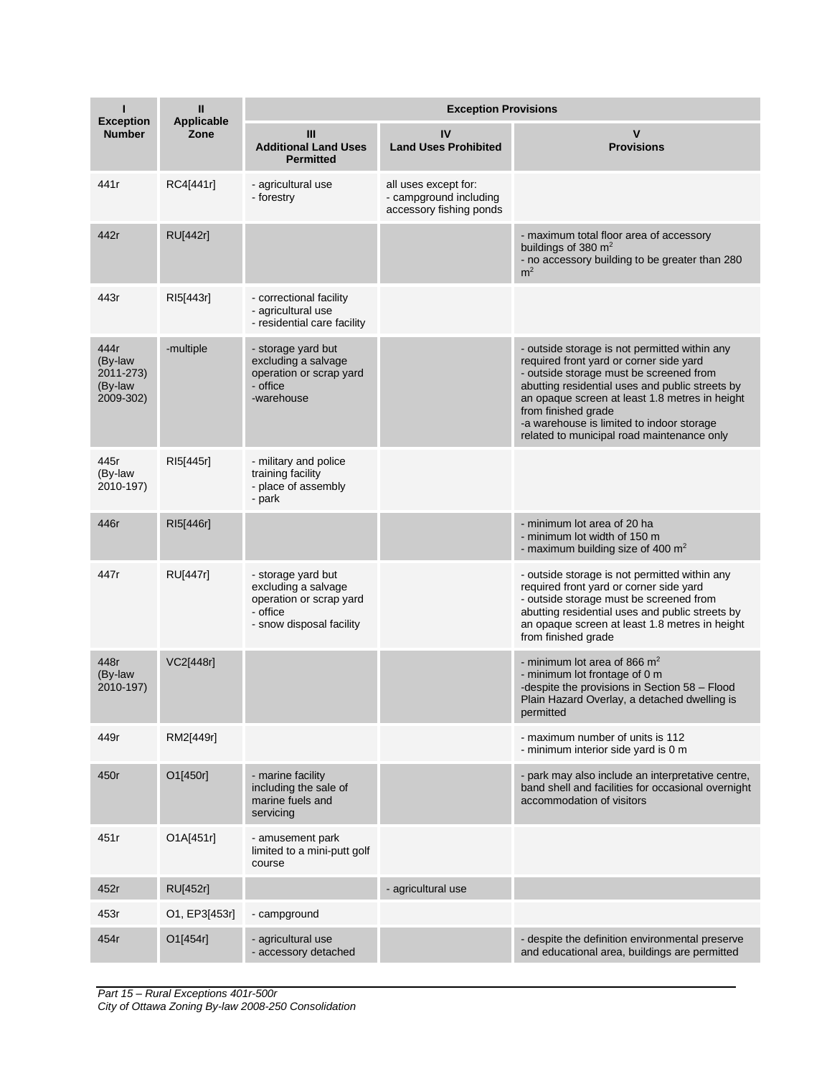| <b>Exception</b>                                     | Ш<br><b>Applicable</b><br>Zone | <b>Exception Provisions</b>                                                                                  |                                                                           |                                                                                                                                                                                                                                                                                                                                                            |  |
|------------------------------------------------------|--------------------------------|--------------------------------------------------------------------------------------------------------------|---------------------------------------------------------------------------|------------------------------------------------------------------------------------------------------------------------------------------------------------------------------------------------------------------------------------------------------------------------------------------------------------------------------------------------------------|--|
| <b>Number</b>                                        |                                | Ш<br><b>Additional Land Uses</b><br><b>Permitted</b>                                                         | IV<br><b>Land Uses Prohibited</b>                                         | <b>Provisions</b>                                                                                                                                                                                                                                                                                                                                          |  |
| 441r                                                 | RC4[441r]                      | - agricultural use<br>- forestry                                                                             | all uses except for:<br>- campground including<br>accessory fishing ponds |                                                                                                                                                                                                                                                                                                                                                            |  |
| 442r                                                 | <b>RU[442r]</b>                |                                                                                                              |                                                                           | - maximum total floor area of accessory<br>buildings of 380 m <sup>2</sup><br>- no accessory building to be greater than 280<br>m <sup>2</sup>                                                                                                                                                                                                             |  |
| 443r                                                 | RI5[443r]                      | - correctional facility<br>- agricultural use<br>- residential care facility                                 |                                                                           |                                                                                                                                                                                                                                                                                                                                                            |  |
| 444r<br>(By-law<br>2011-273)<br>(By-law<br>2009-302) | -multiple                      | - storage yard but<br>excluding a salvage<br>operation or scrap yard<br>- office<br>-warehouse               |                                                                           | - outside storage is not permitted within any<br>required front yard or corner side yard<br>- outside storage must be screened from<br>abutting residential uses and public streets by<br>an opaque screen at least 1.8 metres in height<br>from finished grade<br>-a warehouse is limited to indoor storage<br>related to municipal road maintenance only |  |
| 445r<br>(By-law<br>2010-197)                         | RI5[445r]                      | - military and police<br>training facility<br>- place of assembly<br>- park                                  |                                                                           |                                                                                                                                                                                                                                                                                                                                                            |  |
| 446r                                                 | RI5[446r]                      |                                                                                                              |                                                                           | - minimum lot area of 20 ha<br>- minimum lot width of 150 m<br>- maximum building size of 400 $m2$                                                                                                                                                                                                                                                         |  |
| 447r                                                 | RU[447r]                       | - storage yard but<br>excluding a salvage<br>operation or scrap yard<br>- office<br>- snow disposal facility |                                                                           | - outside storage is not permitted within any<br>required front yard or corner side yard<br>- outside storage must be screened from<br>abutting residential uses and public streets by<br>an opaque screen at least 1.8 metres in height<br>from finished grade                                                                                            |  |
| 448r<br>(By-law<br>2010-197)                         | VC2[448r]                      |                                                                                                              |                                                                           | - minimum lot area of 866 $m2$<br>- minimum lot frontage of 0 m<br>-despite the provisions in Section 58 - Flood<br>Plain Hazard Overlay, a detached dwelling is<br>permitted                                                                                                                                                                              |  |
| 449r                                                 | RM2[449r]                      |                                                                                                              |                                                                           | - maximum number of units is 112<br>- minimum interior side yard is 0 m                                                                                                                                                                                                                                                                                    |  |
| 450r                                                 | O1[450r]                       | - marine facility<br>including the sale of<br>marine fuels and<br>servicing                                  |                                                                           | - park may also include an interpretative centre,<br>band shell and facilities for occasional overnight<br>accommodation of visitors                                                                                                                                                                                                                       |  |
| 451r                                                 | O1A[451r]                      | - amusement park<br>limited to a mini-putt golf<br>course                                                    |                                                                           |                                                                                                                                                                                                                                                                                                                                                            |  |
| 452r                                                 | RU[452r]                       |                                                                                                              | - agricultural use                                                        |                                                                                                                                                                                                                                                                                                                                                            |  |
| 453r                                                 | O1, EP3[453r]                  | - campground                                                                                                 |                                                                           |                                                                                                                                                                                                                                                                                                                                                            |  |
| 454r                                                 | O1[454r]                       | - agricultural use<br>- accessory detached                                                                   |                                                                           | - despite the definition environmental preserve<br>and educational area, buildings are permitted                                                                                                                                                                                                                                                           |  |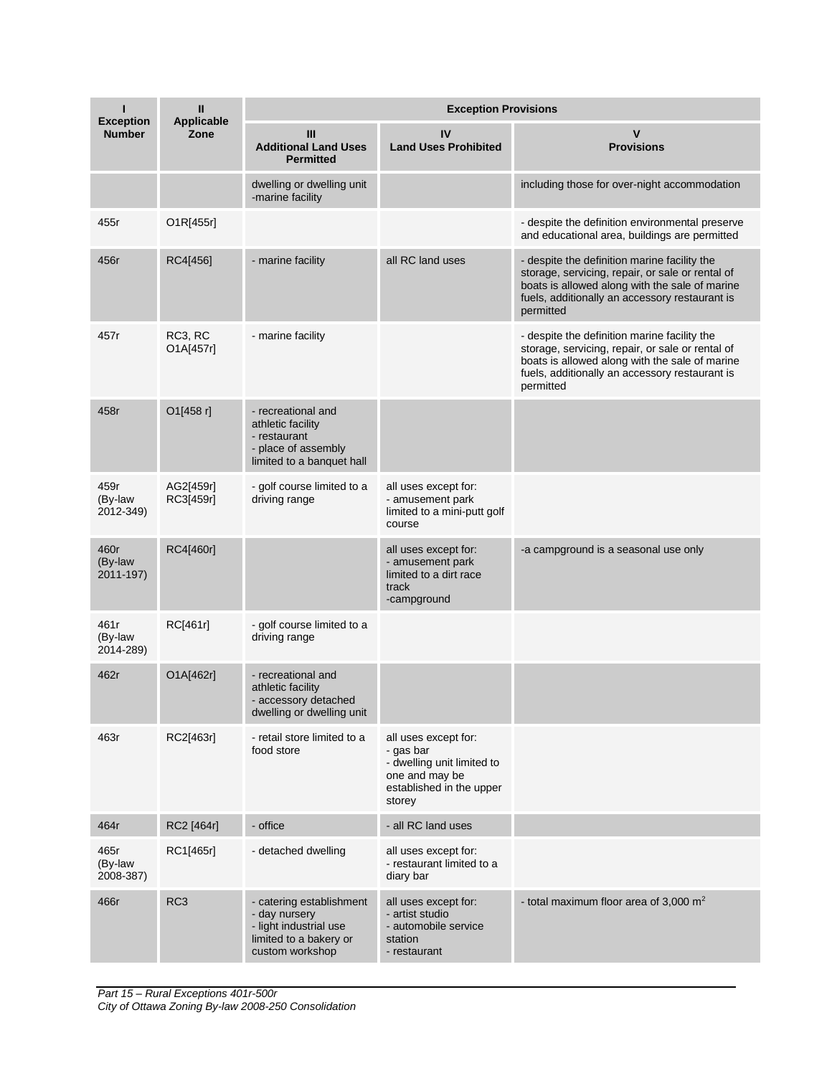| ı<br><b>Exception</b>        | Ш<br><b>Applicable</b><br>Zone | <b>Exception Provisions</b>                                                                                      |                                                                                                                         |                                                                                                                                                                                                                   |  |
|------------------------------|--------------------------------|------------------------------------------------------------------------------------------------------------------|-------------------------------------------------------------------------------------------------------------------------|-------------------------------------------------------------------------------------------------------------------------------------------------------------------------------------------------------------------|--|
| <b>Number</b>                |                                | III<br><b>Additional Land Uses</b><br><b>Permitted</b>                                                           | IV<br><b>Land Uses Prohibited</b>                                                                                       | v<br><b>Provisions</b>                                                                                                                                                                                            |  |
|                              |                                | dwelling or dwelling unit<br>-marine facility                                                                    |                                                                                                                         | including those for over-night accommodation                                                                                                                                                                      |  |
| 455r                         | O1R[455r]                      |                                                                                                                  |                                                                                                                         | - despite the definition environmental preserve<br>and educational area, buildings are permitted                                                                                                                  |  |
| 456r                         | RC4[456]                       | - marine facility                                                                                                | all RC land uses                                                                                                        | - despite the definition marine facility the<br>storage, servicing, repair, or sale or rental of<br>boats is allowed along with the sale of marine<br>fuels, additionally an accessory restaurant is<br>permitted |  |
| 457r                         | RC3, RC<br>O1A[457r]           | - marine facility                                                                                                |                                                                                                                         | - despite the definition marine facility the<br>storage, servicing, repair, or sale or rental of<br>boats is allowed along with the sale of marine<br>fuels, additionally an accessory restaurant is<br>permitted |  |
| 458r                         | O1[458 r]                      | - recreational and<br>athletic facility<br>- restaurant<br>- place of assembly<br>limited to a banquet hall      |                                                                                                                         |                                                                                                                                                                                                                   |  |
| 459r<br>(By-law<br>2012-349) | AG2[459r]<br>RC3[459r]         | - golf course limited to a<br>driving range                                                                      | all uses except for:<br>- amusement park<br>limited to a mini-putt golf<br>course                                       |                                                                                                                                                                                                                   |  |
| 460r<br>(By-law<br>2011-197) | RC4[460r]                      |                                                                                                                  | all uses except for:<br>- amusement park<br>limited to a dirt race<br>track<br>-campground                              | -a campground is a seasonal use only                                                                                                                                                                              |  |
| 461r<br>(By-law<br>2014-289) | RC[461r]                       | - golf course limited to a<br>driving range                                                                      |                                                                                                                         |                                                                                                                                                                                                                   |  |
| 462r                         | O1A[462r]                      | - recreational and<br>athletic facility<br>- accessory detached<br>dwelling or dwelling unit                     |                                                                                                                         |                                                                                                                                                                                                                   |  |
| 463r                         | RC2[463r]                      | - retail store limited to a<br>food store                                                                        | all uses except for:<br>- gas bar<br>- dwelling unit limited to<br>one and may be<br>established in the upper<br>storey |                                                                                                                                                                                                                   |  |
| 464r                         | RC2 [464r]                     | - office                                                                                                         | - all RC land uses                                                                                                      |                                                                                                                                                                                                                   |  |
| 465r<br>(By-law<br>2008-387) | RC1[465r]                      | - detached dwelling                                                                                              | all uses except for:<br>- restaurant limited to a<br>diary bar                                                          |                                                                                                                                                                                                                   |  |
| 466r                         | RC <sub>3</sub>                | - catering establishment<br>- day nursery<br>- light industrial use<br>limited to a bakery or<br>custom workshop | all uses except for:<br>- artist studio<br>- automobile service<br>station<br>- restaurant                              | - total maximum floor area of 3,000 $m2$                                                                                                                                                                          |  |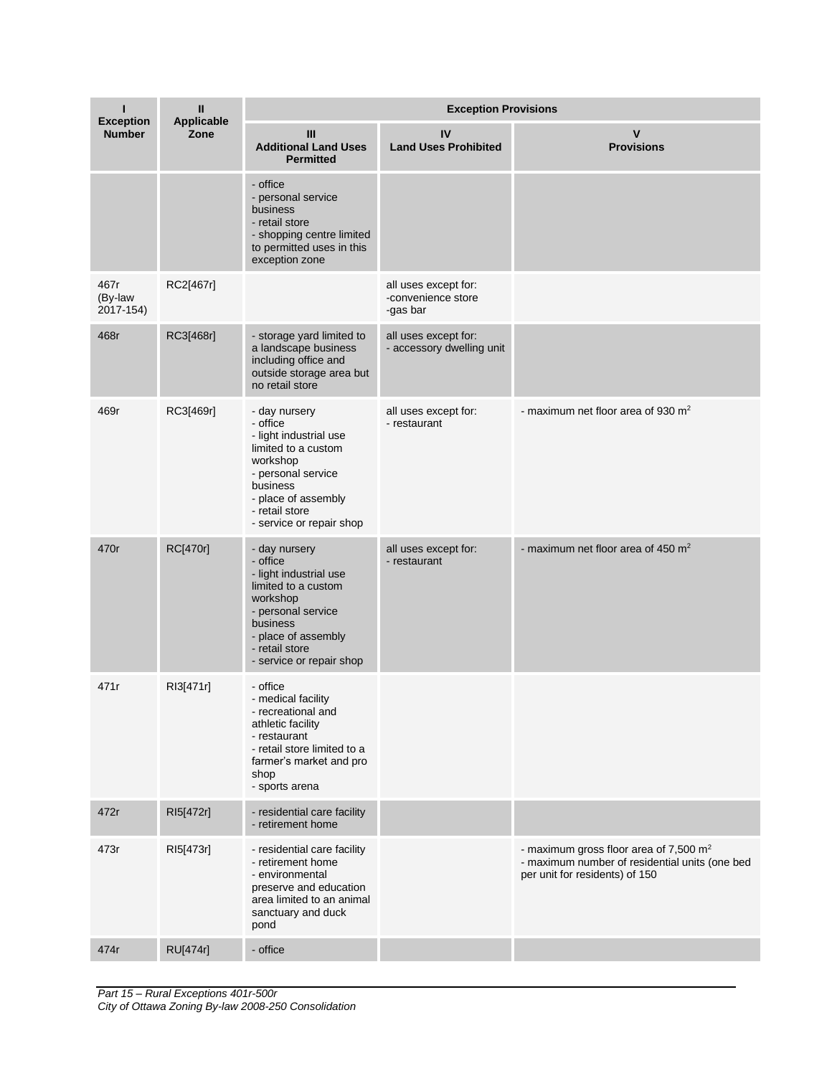| ı                                 | Ш<br><b>Applicable</b><br>Zone | <b>Exception Provisions</b>                                                                                                                                                                   |                                                        |                                                                                                                                        |  |
|-----------------------------------|--------------------------------|-----------------------------------------------------------------------------------------------------------------------------------------------------------------------------------------------|--------------------------------------------------------|----------------------------------------------------------------------------------------------------------------------------------------|--|
| <b>Exception</b><br><b>Number</b> |                                | Ш<br><b>Additional Land Uses</b><br><b>Permitted</b>                                                                                                                                          | IV<br><b>Land Uses Prohibited</b>                      | v<br><b>Provisions</b>                                                                                                                 |  |
|                                   |                                | - office<br>- personal service<br>business<br>- retail store<br>- shopping centre limited<br>to permitted uses in this<br>exception zone                                                      |                                                        |                                                                                                                                        |  |
| 467r<br>(By-law<br>2017-154)      | RC2[467r]                      |                                                                                                                                                                                               | all uses except for:<br>-convenience store<br>-gas bar |                                                                                                                                        |  |
| 468r                              | RC3[468r]                      | - storage yard limited to<br>a landscape business<br>including office and<br>outside storage area but<br>no retail store                                                                      | all uses except for:<br>- accessory dwelling unit      |                                                                                                                                        |  |
| 469r                              | RC3[469r]                      | - day nursery<br>- office<br>- light industrial use<br>limited to a custom<br>workshop<br>- personal service<br>business<br>- place of assembly<br>- retail store<br>- service or repair shop | all uses except for:<br>- restaurant                   | - maximum net floor area of 930 m <sup>2</sup>                                                                                         |  |
| 470r                              | RC[470r]                       | - day nursery<br>- office<br>- light industrial use<br>limited to a custom<br>workshop<br>- personal service<br>business<br>- place of assembly<br>- retail store<br>- service or repair shop | all uses except for:<br>- restaurant                   | - maximum net floor area of 450 m <sup>2</sup>                                                                                         |  |
| 471r                              | RI3[471r]                      | - office<br>- medical facility<br>- recreational and<br>athletic facility<br>- restaurant<br>- retail store limited to a<br>farmer's market and pro<br>shop<br>- sports arena                 |                                                        |                                                                                                                                        |  |
| 472r                              | RI5[472r]                      | - residential care facility<br>- retirement home                                                                                                                                              |                                                        |                                                                                                                                        |  |
| 473r                              | RI5[473r]                      | - residential care facility<br>- retirement home<br>- environmental<br>preserve and education<br>area limited to an animal<br>sanctuary and duck<br>pond                                      |                                                        | - maximum gross floor area of 7,500 m <sup>2</sup><br>- maximum number of residential units (one bed<br>per unit for residents) of 150 |  |
| 474r                              | <b>RU[474r]</b>                | - office                                                                                                                                                                                      |                                                        |                                                                                                                                        |  |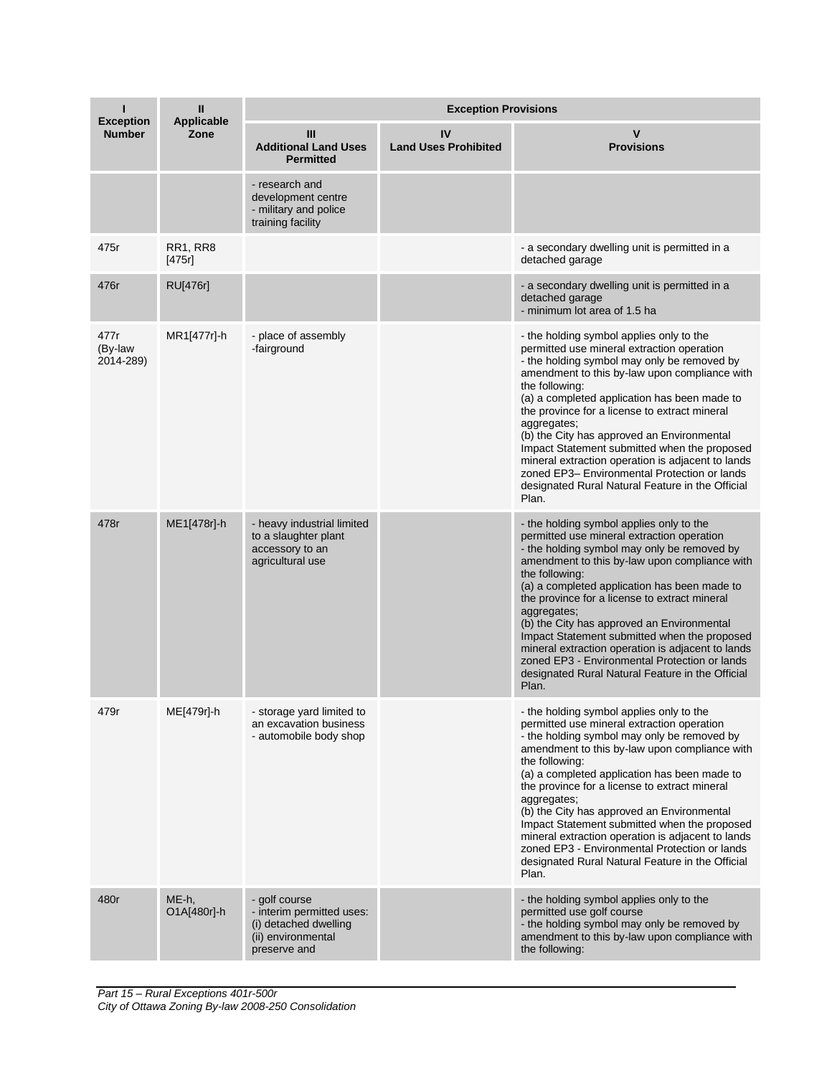|                                   | Ш<br><b>Applicable</b>    | <b>Exception Provisions</b>                                                                               |                                   |                                                                                                                                                                                                                                                                                                                                                                                                                                                                                                                                                                                           |  |
|-----------------------------------|---------------------------|-----------------------------------------------------------------------------------------------------------|-----------------------------------|-------------------------------------------------------------------------------------------------------------------------------------------------------------------------------------------------------------------------------------------------------------------------------------------------------------------------------------------------------------------------------------------------------------------------------------------------------------------------------------------------------------------------------------------------------------------------------------------|--|
| <b>Exception</b><br><b>Number</b> | Zone                      | Ш<br><b>Additional Land Uses</b><br><b>Permitted</b>                                                      | IV<br><b>Land Uses Prohibited</b> | <b>Provisions</b>                                                                                                                                                                                                                                                                                                                                                                                                                                                                                                                                                                         |  |
|                                   |                           | - research and<br>development centre<br>- military and police<br>training facility                        |                                   |                                                                                                                                                                                                                                                                                                                                                                                                                                                                                                                                                                                           |  |
| 475r                              | <b>RR1, RR8</b><br>[475r] |                                                                                                           |                                   | - a secondary dwelling unit is permitted in a<br>detached garage                                                                                                                                                                                                                                                                                                                                                                                                                                                                                                                          |  |
| 476r                              | <b>RU[476r]</b>           |                                                                                                           |                                   | - a secondary dwelling unit is permitted in a<br>detached garage<br>- minimum lot area of 1.5 ha                                                                                                                                                                                                                                                                                                                                                                                                                                                                                          |  |
| 477r<br>(By-law<br>2014-289)      | MR1[477r]-h               | - place of assembly<br>-fairground                                                                        |                                   | - the holding symbol applies only to the<br>permitted use mineral extraction operation<br>- the holding symbol may only be removed by<br>amendment to this by-law upon compliance with<br>the following:<br>(a) a completed application has been made to<br>the province for a license to extract mineral<br>aggregates;<br>(b) the City has approved an Environmental<br>Impact Statement submitted when the proposed<br>mineral extraction operation is adjacent to lands<br>zoned EP3- Environmental Protection or lands<br>designated Rural Natural Feature in the Official<br>Plan.  |  |
| 478r                              | ME1[478r]-h               | - heavy industrial limited<br>to a slaughter plant<br>accessory to an<br>agricultural use                 |                                   | - the holding symbol applies only to the<br>permitted use mineral extraction operation<br>- the holding symbol may only be removed by<br>amendment to this by-law upon compliance with<br>the following:<br>(a) a completed application has been made to<br>the province for a license to extract mineral<br>aggregates;<br>(b) the City has approved an Environmental<br>Impact Statement submitted when the proposed<br>mineral extraction operation is adjacent to lands<br>zoned EP3 - Environmental Protection or lands<br>designated Rural Natural Feature in the Official<br>Plan. |  |
| 479r                              | ME[479r]-h                | - storage yard limited to<br>an excavation business<br>- automobile body shop                             |                                   | - the holding symbol applies only to the<br>permitted use mineral extraction operation<br>- the holding symbol may only be removed by<br>amendment to this by-law upon compliance with<br>the following:<br>(a) a completed application has been made to<br>the province for a license to extract mineral<br>aggregates;<br>(b) the City has approved an Environmental<br>Impact Statement submitted when the proposed<br>mineral extraction operation is adjacent to lands<br>zoned EP3 - Environmental Protection or lands<br>designated Rural Natural Feature in the Official<br>Plan. |  |
| 480r                              | ME-h,<br>O1A[480r]-h      | - golf course<br>- interim permitted uses:<br>(i) detached dwelling<br>(ii) environmental<br>preserve and |                                   | - the holding symbol applies only to the<br>permitted use golf course<br>- the holding symbol may only be removed by<br>amendment to this by-law upon compliance with<br>the following:                                                                                                                                                                                                                                                                                                                                                                                                   |  |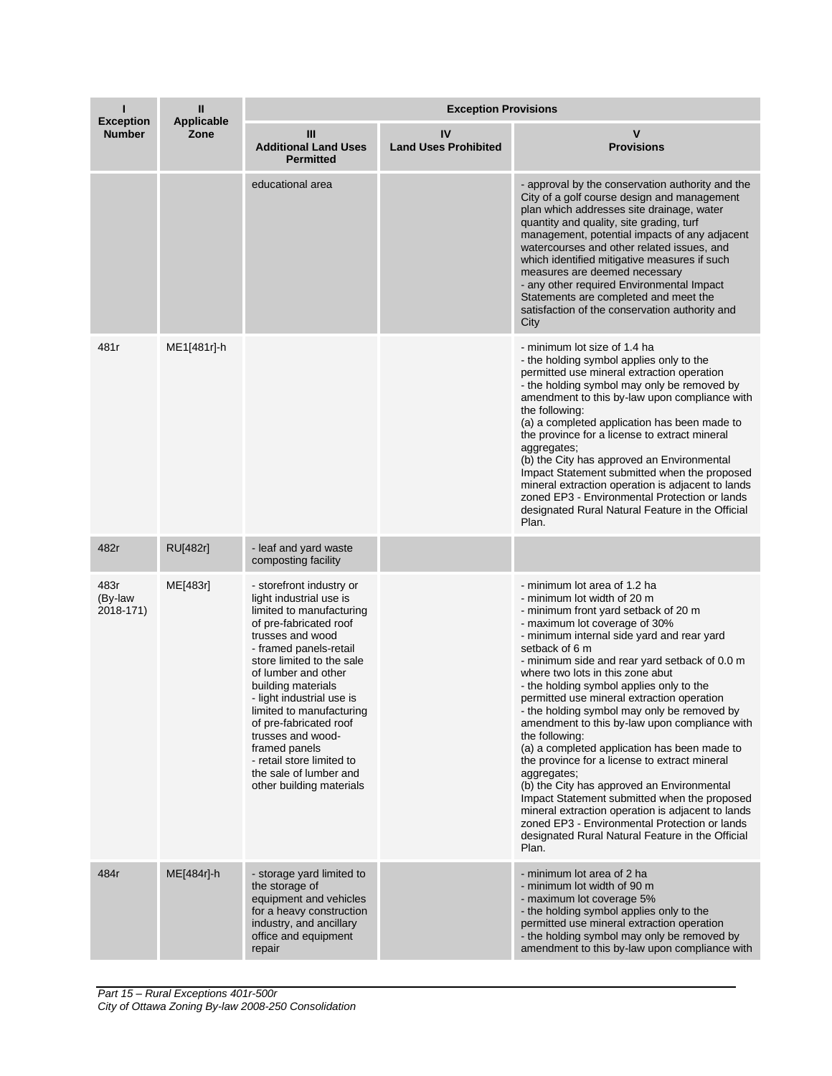| <b>Exception</b>             | Ш<br><b>Applicable</b><br>Zone | <b>Exception Provisions</b>                                                                                                                                                                                                                                                                                                                                                                                                                   |                                   |                                                                                                                                                                                                                                                                                                                                                                                                                                                                                                                                                                                                                                                                                                                                                                                                                                                                                        |  |
|------------------------------|--------------------------------|-----------------------------------------------------------------------------------------------------------------------------------------------------------------------------------------------------------------------------------------------------------------------------------------------------------------------------------------------------------------------------------------------------------------------------------------------|-----------------------------------|----------------------------------------------------------------------------------------------------------------------------------------------------------------------------------------------------------------------------------------------------------------------------------------------------------------------------------------------------------------------------------------------------------------------------------------------------------------------------------------------------------------------------------------------------------------------------------------------------------------------------------------------------------------------------------------------------------------------------------------------------------------------------------------------------------------------------------------------------------------------------------------|--|
| <b>Number</b>                |                                | Ш<br><b>Additional Land Uses</b><br><b>Permitted</b>                                                                                                                                                                                                                                                                                                                                                                                          | IV<br><b>Land Uses Prohibited</b> | v<br><b>Provisions</b>                                                                                                                                                                                                                                                                                                                                                                                                                                                                                                                                                                                                                                                                                                                                                                                                                                                                 |  |
|                              |                                | educational area                                                                                                                                                                                                                                                                                                                                                                                                                              |                                   | - approval by the conservation authority and the<br>City of a golf course design and management<br>plan which addresses site drainage, water<br>quantity and quality, site grading, turf<br>management, potential impacts of any adjacent<br>watercourses and other related issues, and<br>which identified mitigative measures if such<br>measures are deemed necessary<br>- any other required Environmental Impact<br>Statements are completed and meet the<br>satisfaction of the conservation authority and<br>City                                                                                                                                                                                                                                                                                                                                                               |  |
| 481r                         | ME1[481r]-h                    |                                                                                                                                                                                                                                                                                                                                                                                                                                               |                                   | - minimum lot size of 1.4 ha<br>- the holding symbol applies only to the<br>permitted use mineral extraction operation<br>- the holding symbol may only be removed by<br>amendment to this by-law upon compliance with<br>the following:<br>(a) a completed application has been made to<br>the province for a license to extract mineral<br>aggregates;<br>(b) the City has approved an Environmental<br>Impact Statement submitted when the proposed<br>mineral extraction operation is adjacent to lands<br>zoned EP3 - Environmental Protection or lands<br>designated Rural Natural Feature in the Official<br>Plan.                                                                                                                                                                                                                                                              |  |
| 482r                         | RU[482r]                       | - leaf and yard waste<br>composting facility                                                                                                                                                                                                                                                                                                                                                                                                  |                                   |                                                                                                                                                                                                                                                                                                                                                                                                                                                                                                                                                                                                                                                                                                                                                                                                                                                                                        |  |
| 483r<br>(By-law<br>2018-171) | ME[483r]                       | - storefront industry or<br>light industrial use is<br>limited to manufacturing<br>of pre-fabricated roof<br>trusses and wood<br>- framed panels-retail<br>store limited to the sale<br>of lumber and other<br>building materials<br>- light industrial use is<br>limited to manufacturing<br>of pre-fabricated roof<br>trusses and wood-<br>framed panels<br>- retail store limited to<br>the sale of lumber and<br>other building materials |                                   | - minimum lot area of 1.2 ha<br>- minimum lot width of 20 m<br>- minimum front yard setback of 20 m<br>- maximum lot coverage of 30%<br>- minimum internal side yard and rear yard<br>setback of 6 m<br>- minimum side and rear yard setback of 0.0 m<br>where two lots in this zone abut<br>- the holding symbol applies only to the<br>permitted use mineral extraction operation<br>- the holding symbol may only be removed by<br>amendment to this by-law upon compliance with<br>the following:<br>(a) a completed application has been made to<br>the province for a license to extract mineral<br>aggregates;<br>(b) the City has approved an Environmental<br>Impact Statement submitted when the proposed<br>mineral extraction operation is adjacent to lands<br>zoned EP3 - Environmental Protection or lands<br>designated Rural Natural Feature in the Official<br>Plan. |  |
| 484r                         | ME[484r]-h                     | - storage yard limited to<br>the storage of<br>equipment and vehicles<br>for a heavy construction<br>industry, and ancillary<br>office and equipment<br>repair                                                                                                                                                                                                                                                                                |                                   | - minimum lot area of 2 ha<br>- minimum lot width of 90 m<br>- maximum lot coverage 5%<br>- the holding symbol applies only to the<br>permitted use mineral extraction operation<br>- the holding symbol may only be removed by<br>amendment to this by-law upon compliance with                                                                                                                                                                                                                                                                                                                                                                                                                                                                                                                                                                                                       |  |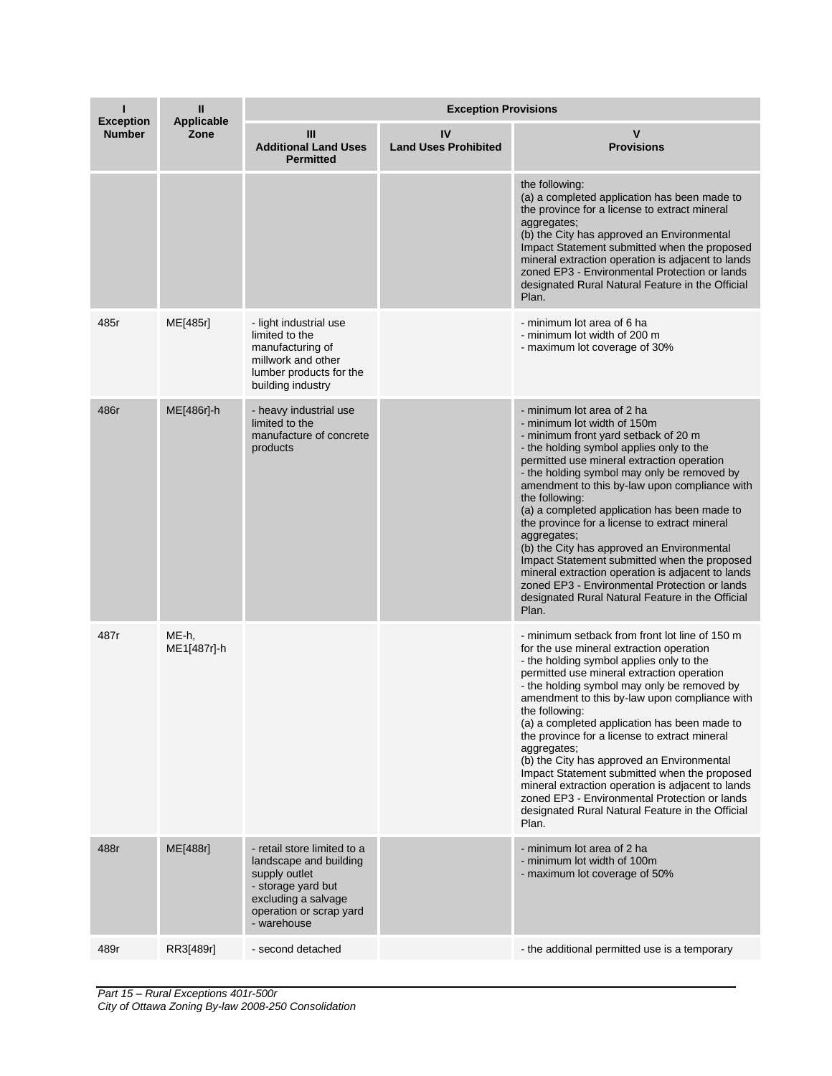| <b>Exception</b> | Ш<br><b>Applicable</b><br>Zone | <b>Exception Provisions</b>                                                                                                                                   |                                   |                                                                                                                                                                                                                                                                                                                                                                                                                                                                                                                                                                                                                                                                                                |  |
|------------------|--------------------------------|---------------------------------------------------------------------------------------------------------------------------------------------------------------|-----------------------------------|------------------------------------------------------------------------------------------------------------------------------------------------------------------------------------------------------------------------------------------------------------------------------------------------------------------------------------------------------------------------------------------------------------------------------------------------------------------------------------------------------------------------------------------------------------------------------------------------------------------------------------------------------------------------------------------------|--|
| <b>Number</b>    |                                | Ш<br><b>Additional Land Uses</b><br><b>Permitted</b>                                                                                                          | IV<br><b>Land Uses Prohibited</b> | <b>Provisions</b>                                                                                                                                                                                                                                                                                                                                                                                                                                                                                                                                                                                                                                                                              |  |
|                  |                                |                                                                                                                                                               |                                   | the following:<br>(a) a completed application has been made to<br>the province for a license to extract mineral<br>aggregates;<br>(b) the City has approved an Environmental<br>Impact Statement submitted when the proposed<br>mineral extraction operation is adjacent to lands<br>zoned EP3 - Environmental Protection or lands<br>designated Rural Natural Feature in the Official<br>Plan.                                                                                                                                                                                                                                                                                                |  |
| 485r             | ME[485r]                       | - light industrial use<br>limited to the<br>manufacturing of<br>millwork and other<br>lumber products for the<br>building industry                            |                                   | - minimum lot area of 6 ha<br>- minimum lot width of 200 m<br>- maximum lot coverage of 30%                                                                                                                                                                                                                                                                                                                                                                                                                                                                                                                                                                                                    |  |
| 486r             | ME[486r]-h                     | - heavy industrial use<br>limited to the<br>manufacture of concrete<br>products                                                                               |                                   | - minimum lot area of 2 ha<br>- minimum lot width of 150m<br>- minimum front yard setback of 20 m<br>- the holding symbol applies only to the<br>permitted use mineral extraction operation<br>- the holding symbol may only be removed by<br>amendment to this by-law upon compliance with<br>the following:<br>(a) a completed application has been made to<br>the province for a license to extract mineral<br>aggregates;<br>(b) the City has approved an Environmental<br>Impact Statement submitted when the proposed<br>mineral extraction operation is adjacent to lands<br>zoned EP3 - Environmental Protection or lands<br>designated Rural Natural Feature in the Official<br>Plan. |  |
| 487r             | ME-h,<br>ME1[487r]-h           |                                                                                                                                                               |                                   | - minimum setback from front lot line of 150 m<br>for the use mineral extraction operation<br>- the holding symbol applies only to the<br>permitted use mineral extraction operation<br>- the holding symbol may only be removed by<br>amendment to this by-law upon compliance with<br>the following:<br>(a) a completed application has been made to<br>the province for a license to extract mineral<br>aggregates;<br>(b) the City has approved an Environmental<br>Impact Statement submitted when the proposed<br>mineral extraction operation is adjacent to lands<br>zoned EP3 - Environmental Protection or lands<br>designated Rural Natural Feature in the Official<br>Plan.        |  |
| 488r             | ME[488r]                       | - retail store limited to a<br>landscape and building<br>supply outlet<br>- storage yard but<br>excluding a salvage<br>operation or scrap yard<br>- warehouse |                                   | - minimum lot area of 2 ha<br>- minimum lot width of 100m<br>- maximum lot coverage of 50%                                                                                                                                                                                                                                                                                                                                                                                                                                                                                                                                                                                                     |  |
| 489r             | RR3[489r]                      | - second detached                                                                                                                                             |                                   | - the additional permitted use is a temporary                                                                                                                                                                                                                                                                                                                                                                                                                                                                                                                                                                                                                                                  |  |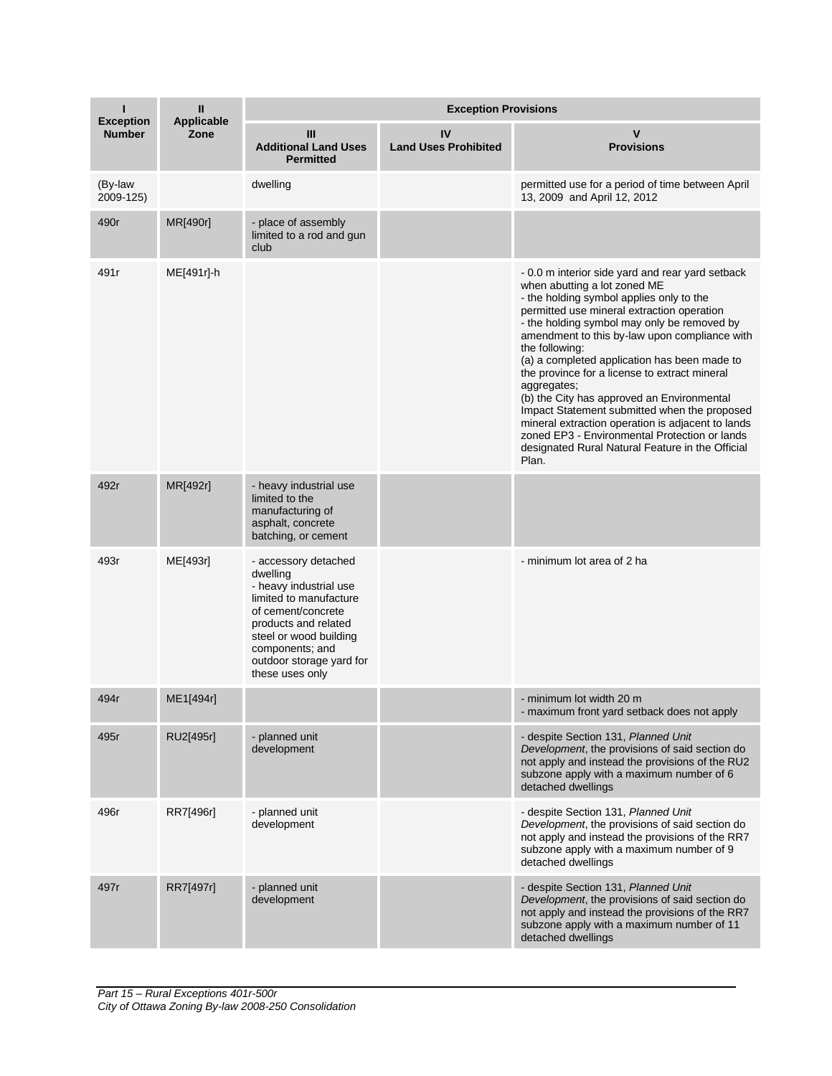| <b>Exception</b>     | Ш<br><b>Applicable</b><br>Zone | <b>Exception Provisions</b>                                                                                                                                                                                                    |                                   |                                                                                                                                                                                                                                                                                                                                                                                                                                                                                                                                                                                                                                                                               |  |
|----------------------|--------------------------------|--------------------------------------------------------------------------------------------------------------------------------------------------------------------------------------------------------------------------------|-----------------------------------|-------------------------------------------------------------------------------------------------------------------------------------------------------------------------------------------------------------------------------------------------------------------------------------------------------------------------------------------------------------------------------------------------------------------------------------------------------------------------------------------------------------------------------------------------------------------------------------------------------------------------------------------------------------------------------|--|
| <b>Number</b>        |                                | Ш<br><b>Additional Land Uses</b><br><b>Permitted</b>                                                                                                                                                                           | IV<br><b>Land Uses Prohibited</b> | <b>Provisions</b>                                                                                                                                                                                                                                                                                                                                                                                                                                                                                                                                                                                                                                                             |  |
| (By-law<br>2009-125) |                                | dwelling                                                                                                                                                                                                                       |                                   | permitted use for a period of time between April<br>13, 2009 and April 12, 2012                                                                                                                                                                                                                                                                                                                                                                                                                                                                                                                                                                                               |  |
| 490r                 | MR[490r]                       | - place of assembly<br>limited to a rod and gun<br>club                                                                                                                                                                        |                                   |                                                                                                                                                                                                                                                                                                                                                                                                                                                                                                                                                                                                                                                                               |  |
| 491r                 | ME[491r]-h                     |                                                                                                                                                                                                                                |                                   | - 0.0 m interior side yard and rear yard setback<br>when abutting a lot zoned ME<br>- the holding symbol applies only to the<br>permitted use mineral extraction operation<br>- the holding symbol may only be removed by<br>amendment to this by-law upon compliance with<br>the following:<br>(a) a completed application has been made to<br>the province for a license to extract mineral<br>aggregates;<br>(b) the City has approved an Environmental<br>Impact Statement submitted when the proposed<br>mineral extraction operation is adjacent to lands<br>zoned EP3 - Environmental Protection or lands<br>designated Rural Natural Feature in the Official<br>Plan. |  |
| 492r                 | MR[492r]                       | - heavy industrial use<br>limited to the<br>manufacturing of<br>asphalt, concrete<br>batching, or cement                                                                                                                       |                                   |                                                                                                                                                                                                                                                                                                                                                                                                                                                                                                                                                                                                                                                                               |  |
| 493r                 | ME[493r]                       | - accessory detached<br>dwelling<br>- heavy industrial use<br>limited to manufacture<br>of cement/concrete<br>products and related<br>steel or wood building<br>components; and<br>outdoor storage yard for<br>these uses only |                                   | - minimum lot area of 2 ha                                                                                                                                                                                                                                                                                                                                                                                                                                                                                                                                                                                                                                                    |  |
| 494r                 | ME1[494r]                      |                                                                                                                                                                                                                                |                                   | - minimum lot width 20 m<br>- maximum front yard setback does not apply                                                                                                                                                                                                                                                                                                                                                                                                                                                                                                                                                                                                       |  |
| 495r                 | RU2[495r]                      | - planned unit<br>development                                                                                                                                                                                                  |                                   | - despite Section 131, Planned Unit<br>Development, the provisions of said section do<br>not apply and instead the provisions of the RU2<br>subzone apply with a maximum number of 6<br>detached dwellings                                                                                                                                                                                                                                                                                                                                                                                                                                                                    |  |
| 496r                 | RR7[496r]                      | - planned unit<br>development                                                                                                                                                                                                  |                                   | - despite Section 131, Planned Unit<br>Development, the provisions of said section do<br>not apply and instead the provisions of the RR7<br>subzone apply with a maximum number of 9<br>detached dwellings                                                                                                                                                                                                                                                                                                                                                                                                                                                                    |  |
| 497r                 | RR7[497r]                      | - planned unit<br>development                                                                                                                                                                                                  |                                   | - despite Section 131, Planned Unit<br>Development, the provisions of said section do<br>not apply and instead the provisions of the RR7<br>subzone apply with a maximum number of 11<br>detached dwellings                                                                                                                                                                                                                                                                                                                                                                                                                                                                   |  |